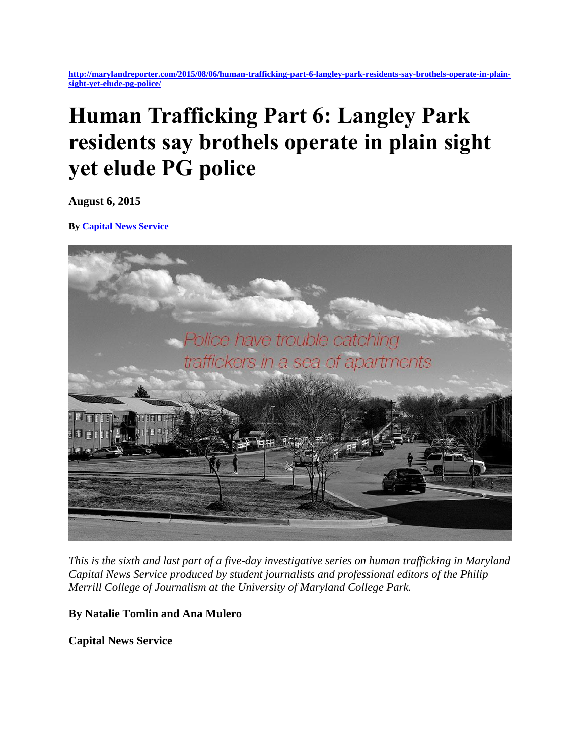**[http://marylandreporter.com/2015/08/06/human-trafficking-part-6-langley-park-residents-say-brothels-operate-in-plain](http://marylandreporter.com/2015/08/06/human-trafficking-part-6-langley-park-residents-say-brothels-operate-in-plain-sight-yet-elude-pg-police/)[sight-yet-elude-pg-police/](http://marylandreporter.com/2015/08/06/human-trafficking-part-6-langley-park-residents-say-brothels-operate-in-plain-sight-yet-elude-pg-police/)**

# **Human Trafficking Part 6: Langley Park residents say brothels operate in plain sight yet elude PG police**

**August 6, 2015**

**By [Capital News Service](http://marylandreporter.com/author/capital-news-service/)**



*This is the sixth and last part of a five-day investigative series on human trafficking in Maryland Capital News Service produced by student journalists and professional editors of the Philip Merrill College of Journalism at the University of Maryland College Park.*

**By Natalie Tomlin and Ana Mulero**

**Capital News Service**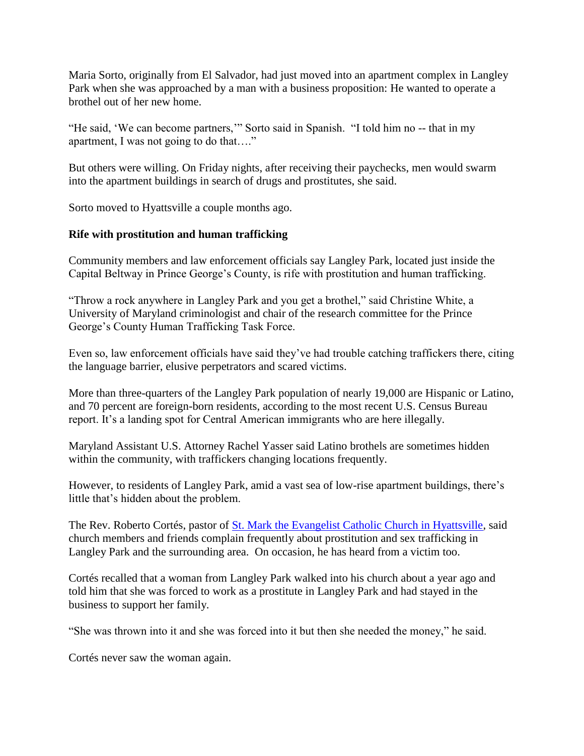Maria Sorto, originally from El Salvador, had just moved into an apartment complex in Langley Park when she was approached by a man with a business proposition: He wanted to operate a brothel out of her new home.

"He said, 'We can become partners,'" Sorto said in Spanish. "I told him no -- that in my apartment, I was not going to do that…."

But others were willing. On Friday nights, after receiving their paychecks, men would swarm into the apartment buildings in search of drugs and prostitutes, she said.

Sorto moved to Hyattsville a couple months ago.

## **Rife with prostitution and human trafficking**

Community members and law enforcement officials say Langley Park, located just inside the Capital Beltway in Prince George's County, is rife with prostitution and human trafficking.

"Throw a rock anywhere in Langley Park and you get a brothel," said Christine White, a University of Maryland criminologist and chair of the research committee for the Prince George's County Human Trafficking Task Force.

Even so, law enforcement officials have said they've had trouble catching traffickers there, citing the language barrier, elusive perpetrators and scared victims.

More than three-quarters of the Langley Park population of nearly 19,000 are Hispanic or Latino, and 70 percent are foreign-born residents, according to the most recent U.S. Census Bureau report. It's a landing spot for Central American immigrants who are here illegally.

Maryland Assistant U.S. Attorney Rachel Yasser said Latino brothels are sometimes hidden within the community, with traffickers changing locations frequently.

However, to residents of Langley Park, amid a vast sea of low-rise apartment buildings, there's little that's hidden about the problem.

The Rev. Roberto Cortés, pastor of [St. Mark the Evangelist Catholic Church in Hyattsville,](http://www.stmarkhyattsville.org/) said church members and friends complain frequently about prostitution and sex trafficking in Langley Park and the surrounding area. On occasion, he has heard from a victim too.

Cortés recalled that a woman from Langley Park walked into his church about a year ago and told him that she was forced to work as a prostitute in Langley Park and had stayed in the business to support her family.

"She was thrown into it and she was forced into it but then she needed the money," he said.

Cortés never saw the woman again.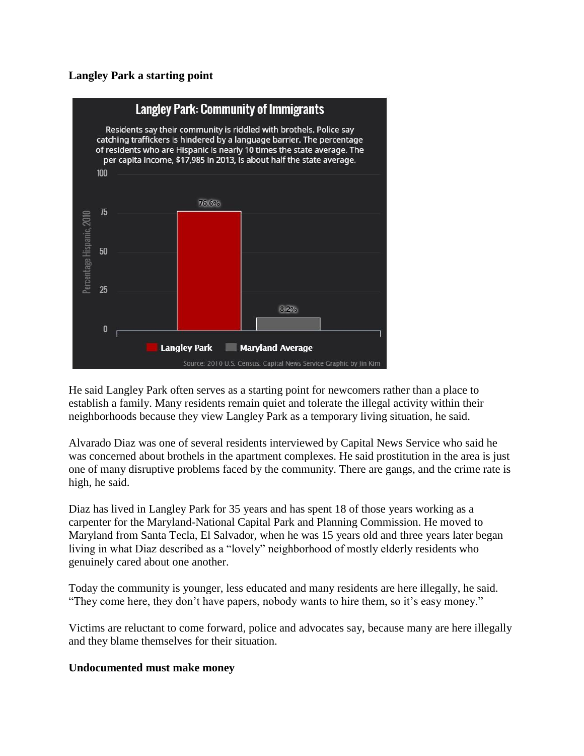#### **Langley Park a starting point**



He said Langley Park often serves as a starting point for newcomers rather than a place to establish a family. Many residents remain quiet and tolerate the illegal activity within their neighborhoods because they view Langley Park as a temporary living situation, he said.

Alvarado Diaz was one of several residents interviewed by Capital News Service who said he was concerned about brothels in the apartment complexes. He said prostitution in the area is just one of many disruptive problems faced by the community. There are gangs, and the crime rate is high, he said.

Diaz has lived in Langley Park for 35 years and has spent 18 of those years working as a carpenter for the Maryland-National Capital Park and Planning Commission. He moved to Maryland from Santa Tecla, El Salvador, when he was 15 years old and three years later began living in what Diaz described as a "lovely" neighborhood of mostly elderly residents who genuinely cared about one another.

Today the community is younger, less educated and many residents are here illegally, he said. "They come here, they don't have papers, nobody wants to hire them, so it's easy money."

Victims are reluctant to come forward, police and advocates say, because many are here illegally and they blame themselves for their situation.

#### **Undocumented must make money**